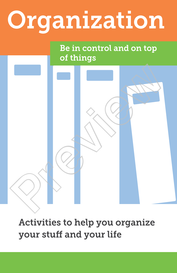# Organization

### Be in control and on top of things

Activities to help you organize your stuff and your life

Prediction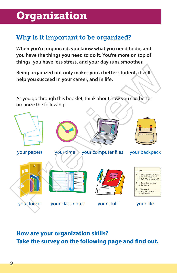### **Organization**

#### Why is it important to be organized?

**When you're organized, you know what you need to do, and you have the things you need to do it. You're more on top of things, you have less stress, and your day runs smoother.**

**Being organized not only makes you a better student, it will help you succeed in your career, and in life.** 

As you go through this booklet, think about how you can better organize the following:



**How are your organization skills? Take the survey on the following page and find out.**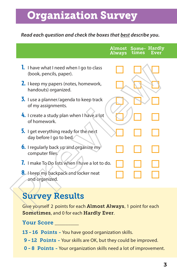### Organization Survey

#### **Read each question and check the boxes that best describe you.**

|                                                                                                          | Almost<br><b>Always</b> | times | Some-Hardly<br>Ever |
|----------------------------------------------------------------------------------------------------------|-------------------------|-------|---------------------|
| L.<br>I have what I need when I go to class<br>(book, pencils, paper).                                   |                         |       |                     |
| <b>2.</b> I keep my papers (notes, homework,<br>handouts) organized.                                     |                         |       |                     |
| 3. I use a planner/agenda to keep track<br>of my assignments.                                            |                         |       |                     |
| 4. I create a study plan when I have a lot<br>of homework.                                               |                         |       |                     |
| 5. I get everything ready for the next<br>day before I go to bed                                         |                         |       |                     |
| <b>6.</b> I regularly back up and organize my<br>computer files.                                         |                         |       |                     |
| 7. I make To Do lists when I have a lot to do.                                                           |                         |       |                     |
| 8. I keep my backpack and locker neat<br>and organized.                                                  |                         |       |                     |
| <b>Survey Results</b>                                                                                    |                         |       |                     |
| Give yourself 2 points for each Almost Always, 1 point for each<br>Sometimes, and 0 for each Hardly Ever |                         |       |                     |

## Survey Results

Give yourself 2 points for each Almost Always, 1 point for each Sometimes, and 0 for each Hardly Ever.

#### Your Score

- 13 16 Points You have good organization skills.
- 9 12 Points Your skills are OK, but they could be improved.
- 0 -8 Points Your organization skills need a lot of improvement.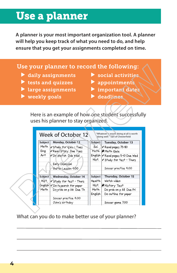### Use a planner

**A planner is your most important organization tool. A planner will help you keep track of what you need to do, and help ensure that you get your assignments completed on time.** 

#### Use your planner to record the following:

- $\blacktriangleright$  daily assignments  $\blacktriangleright$  social activities
- $\triangleright$  tests and quizzes  $\triangleright$  appointments
- I large assignments Important date
- $\blacktriangleright$  weekly goals  $\blacktriangleright$  deadlines
- 
- 
- -

|         | tests and quizzes<br>large assignments<br>weekly goals |                | appointments<br>important date.<br>deadlines                                  |
|---------|--------------------------------------------------------|----------------|-------------------------------------------------------------------------------|
|         |                                                        |                | Here is an example of how one student successfully                            |
|         | uses his planner to stay organized.                    |                |                                                                               |
|         |                                                        |                |                                                                               |
|         |                                                        |                |                                                                               |
|         |                                                        |                |                                                                               |
|         | Week of October 12                                     |                | "Whatever is worth doing at all is worth<br>doing well." Earl of Chesterfield |
| Subject | Monday, October 12                                     | Subject        |                                                                               |
| Math    | $\nu$ Study for quiz - Tues                            | Sci.           | Tuesday, October 13<br>V Read pages 75-80                                     |
| Eng     | <b>VRead Story Due Tues</b>                            |                | Math $\bigstar$ Math Quiz                                                     |
| Art     | V Do ske tch Due Wed                                   |                | English V Read pages 5-10 Due Wed                                             |
|         |                                                        | Hist.          | V Study for test - Thurs                                                      |
|         | Early Dismissal                                        |                |                                                                               |
|         | Guitar Lesson 4:00                                     |                | Soccer practice 4:00                                                          |
|         |                                                        |                |                                                                               |
| Subject | Wednesday, October 14                                  | <b>Subject</b> | Thursday, October 15                                                          |
| Hist.   | V Study for test - Thurs                               | Health         | Watch video                                                                   |
| English | Y Do research for paper                                | Hist.          | <b>X</b> History Test                                                         |
| Math    | Do prob on p 26 Due Th                                 | Math           | Do prob on p 28 Due Fri                                                       |
|         | Soccer practice 4:00                                   | English        | Do outline for paper                                                          |

**Notes**

What can you do to make better use of your planner?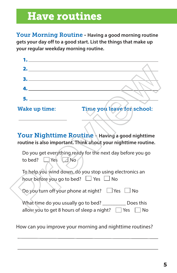### Have routines

Your Morning Routine - **Having a good morning routine gets your day off to a good start. List the things that make up your regular weekday morning routine.** 



Your Nighttime Routine - **Having a good nighttime routine is also important. Think about your nighttime routine.**

|  |                              | Do you get everything ready for the next day before you go |  |
|--|------------------------------|------------------------------------------------------------|--|
|  | to bed? $\Box$ Yes $\Box$ No |                                                            |  |

| To help you wind down, do you stop using electronics an |  |
|---------------------------------------------------------|--|
| hour before you go to bed? $\Box$ Yes $\Box$ No         |  |

Do you turn off your phone at night?  $\Box$  Yes  $\Box$  No

| What time do you usually go to bed?                             | Does this |  |
|-----------------------------------------------------------------|-----------|--|
| allow you to get 8 hours of sleep a night? $\Box$ Yes $\Box$ No |           |  |

How can you improve your morning and nighttime routines?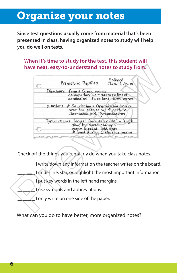### Organize your notes

**Since test questions usually come from material that's been presented in class, having organized notes to study will help you do well on tests.**

**When it's time to study for the test, this student will have neat, easy-to-understand notes to study from.**

| Science<br>Prehistoric Reptiles<br>Jan. 12/0.10                                                                                              |
|----------------------------------------------------------------------------------------------------------------------------------------------|
| from a Greek words<br>Dinosaurs<br>deinos = terrible + saurus = lizard<br>dominated life on land-140,000,000 yrs.                            |
| 2 orders * Saurischia + Ornithischia orders<br>over 800 species w/ 1 posture<br>Saurischia incl. Tyronnosaurus                               |
| largest flesh eater-40' in length<br>Tyrannosaurus<br>slow, top speed ~12 mph<br>Warm blooded, laid eggs<br>* lived during Cretaceous period |
| Check off the things you regularly do when you take class notes.                                                                             |
| I write down any information the teacher writes on the board.                                                                                |
| I underline, star, or highlight the most important information.                                                                              |
| I put key words in the left hand margins.                                                                                                    |
| I use symbols and abbreviations.                                                                                                             |
| I only write on one side of the paper.                                                                                                       |
| What can you do to have better, more organized notes?                                                                                        |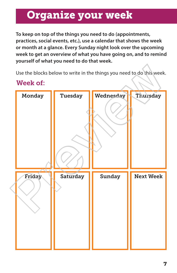### Organize your week

**To keep on top of the things you need to do (appointments, practices, social events, etc.), use a calendar that shows the week or month at a glance. Every Sunday night look over the upcoming week to get an overview of what you have going on, and to remind yourself of what you need to do that week.** 

Use the blocks below to write in the things you need to do this week.

#### Week of: